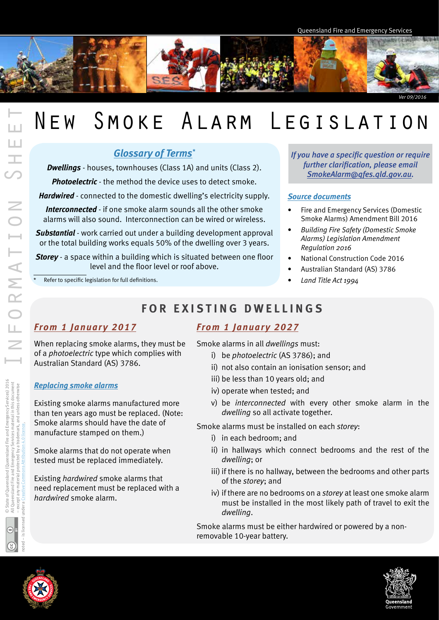

# **EVERY ANDISEM ALARM LEGISLATION**<br> **EVERY ALARM ALARM AND COMMONS ATTENT**<br> **Devellings - houses, commonses (Class in)** and units (Class 2). From the commons assess the commons attached under a creative Commons Attached un

# *Glossary of Terms\**

*Dwellings* - houses, townhouses (Class 1A) and units (Class 2).

*Photoelectric* - the method the device uses to detect smoke.

*Hardwired* - connected to the domestic dwelling's electricity supply.

*Interconnected* - if one smoke alarm sounds all the other smoke alarms will also sound. Interconnection can be wired or wireless.

*Substantial* - work carried out under a building development approval or the total building works equals 50% of the dwelling over 3 years.

*Storey* - a space within a building which is situated between one floor level and the floor level or roof above.

 $\overline{R}$  Refer to specific legislation for full definitions.

*If you have a specific question or require further clarification, please email SmokeAlarm@qfes.qld.gov.au.* 

### *Source documents*

- Fire and Emergency Services (Domestic Smoke Alarms) Amendment Bill 2016
- *Building Fire Safety (Domestic Smoke Alarms) Legislation Amendment Regulation 2016*
- National Construction Code 2016
- Australian Standard (AS) 3786
- *Land Title Act 1994*

# **FOR EXISTING DWELLINGS**

### *From 1 January 2017*

When replacing smoke alarms, they must be of a *photoelectric* type which complies with Australian Standard (AS) 3786.

### *Replacing smoke alarms*

Existing smoke alarms manufactured more than ten years ago must be replaced. (Note: Smoke alarms should have the date of manufacture stamped on them.)

Smoke alarms that do not operate when tested must be replaced immediately.

Existing *hardwired* smoke alarms that need replacement must be replaced with a *hardwired* smoke alarm.

### *From 1 January 2027*

Smoke alarms in all *dwellings* must:

- i) be *photoelectric* (AS 3786); and
- ii) not also contain an ionisation sensor; and
- iii) be less than 10 years old; and
- iv) operate when tested; and
- v) be *interconnected* with every other smoke alarm in the *dwelling* so all activate together.

Smoke alarms must be installed on each *storey*:

- i) in each bedroom; and
- ii) in hallways which connect bedrooms and the rest of the *dwelling*; or
- iii) if there is no hallway, between the bedrooms and other parts of the *storey*; and
- iv) if there are no bedrooms on a *storey* at least one smoke alarm must be installed in the most likely path of travel to exit the *dwelling*.

Smoke alarms must be either hardwired or powered by a nonremovable 10-year battery.